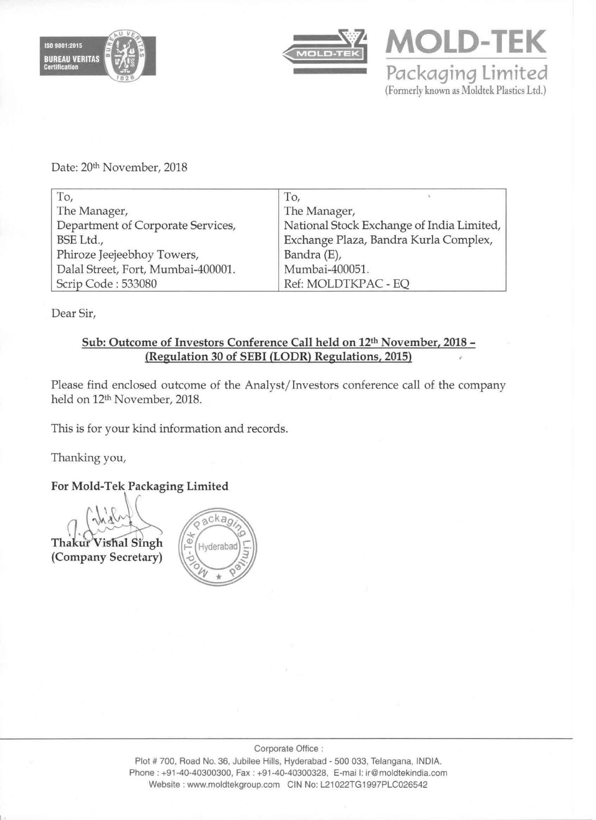





Date: 20th November, 2018

| To,                                | To,                                       |
|------------------------------------|-------------------------------------------|
| The Manager,                       | The Manager,                              |
| Department of Corporate Services,  | National Stock Exchange of India Limited, |
| BSE Ltd.,                          | Exchange Plaza, Bandra Kurla Complex,     |
| Phiroze Jeejeebhoy Towers,         | Bandra (E),                               |
| Dalal Street, Fort, Mumbai-400001. | Mumbai-400051.                            |
| Scrip Code: 533080                 | Ref: MOLDTKPAC - EQ                       |

Dear Sir,

# Sub: Outcome of Investors Conference Call held on 12th November, 2018 - (Regulation 30 of SEBI (LODR) Regulations, 2015)

Please find enclosed outcome of the Analyst/Investors conference call of the company held on 12th November, 2018.

This is for your kind information and records.

Thanking you,

# For Mold-Tek Packaging Limited



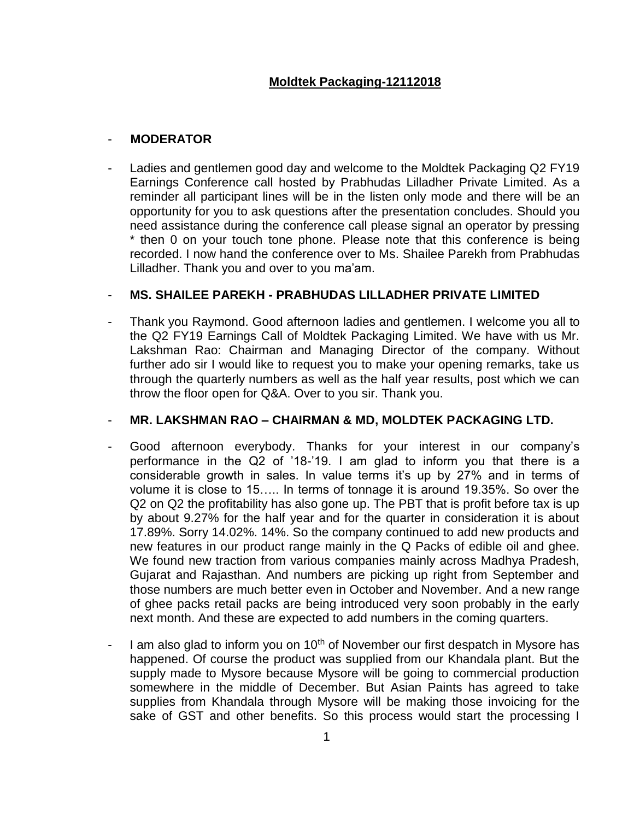## - **MODERATOR**

Ladies and gentlemen good day and welcome to the Moldtek Packaging Q2 FY19 Earnings Conference call hosted by Prabhudas Lilladher Private Limited. As a reminder all participant lines will be in the listen only mode and there will be an opportunity for you to ask questions after the presentation concludes. Should you need assistance during the conference call please signal an operator by pressing \* then 0 on your touch tone phone. Please note that this conference is being recorded. I now hand the conference over to Ms. Shailee Parekh from Prabhudas Lilladher. Thank you and over to you ma'am.

# - **MS. SHAILEE PAREKH - PRABHUDAS LILLADHER PRIVATE LIMITED**

- Thank you Raymond. Good afternoon ladies and gentlemen. I welcome you all to the Q2 FY19 Earnings Call of Moldtek Packaging Limited. We have with us Mr. Lakshman Rao: Chairman and Managing Director of the company. Without further ado sir I would like to request you to make your opening remarks, take us through the quarterly numbers as well as the half year results, post which we can throw the floor open for Q&A. Over to you sir. Thank you.

## - **MR. LAKSHMAN RAO – CHAIRMAN & MD, MOLDTEK PACKAGING LTD.**

- Good afternoon everybody. Thanks for your interest in our company's performance in the Q2 of '18-'19. I am glad to inform you that there is a considerable growth in sales. In value terms it's up by 27% and in terms of volume it is close to 15….. In terms of tonnage it is around 19.35%. So over the Q2 on Q2 the profitability has also gone up. The PBT that is profit before tax is up by about 9.27% for the half year and for the quarter in consideration it is about 17.89%. Sorry 14.02%. 14%. So the company continued to add new products and new features in our product range mainly in the Q Packs of edible oil and ghee. We found new traction from various companies mainly across Madhya Pradesh, Gujarat and Rajasthan. And numbers are picking up right from September and those numbers are much better even in October and November. And a new range of ghee packs retail packs are being introduced very soon probably in the early next month. And these are expected to add numbers in the coming quarters.
- I am also glad to inform you on  $10<sup>th</sup>$  of November our first despatch in Mysore has happened. Of course the product was supplied from our Khandala plant. But the supply made to Mysore because Mysore will be going to commercial production somewhere in the middle of December. But Asian Paints has agreed to take supplies from Khandala through Mysore will be making those invoicing for the sake of GST and other benefits. So this process would start the processing I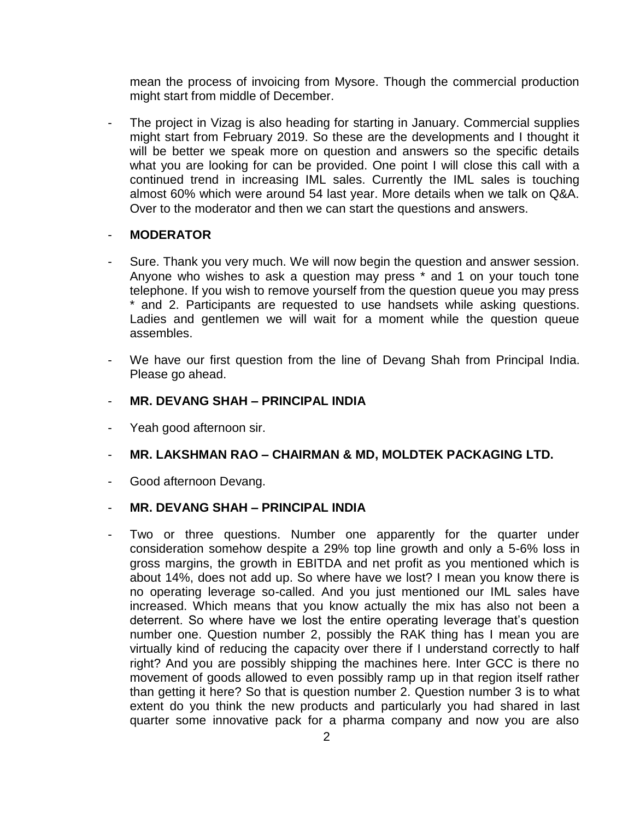mean the process of invoicing from Mysore. Though the commercial production might start from middle of December.

The project in Vizag is also heading for starting in January. Commercial supplies might start from February 2019. So these are the developments and I thought it will be better we speak more on question and answers so the specific details what you are looking for can be provided. One point I will close this call with a continued trend in increasing IML sales. Currently the IML sales is touching almost 60% which were around 54 last year. More details when we talk on Q&A. Over to the moderator and then we can start the questions and answers.

#### - **MODERATOR**

- Sure. Thank you very much. We will now begin the question and answer session. Anyone who wishes to ask a question may press \* and 1 on your touch tone telephone. If you wish to remove yourself from the question queue you may press \* and 2. Participants are requested to use handsets while asking questions. Ladies and gentlemen we will wait for a moment while the question queue assembles.
- We have our first question from the line of Devang Shah from Principal India. Please go ahead.
- **MR. DEVANG SHAH – PRINCIPAL INDIA**
- Yeah good afternoon sir.
- **MR. LAKSHMAN RAO – CHAIRMAN & MD, MOLDTEK PACKAGING LTD.**
- Good afternoon Devang.

#### - **MR. DEVANG SHAH – PRINCIPAL INDIA**

Two or three questions. Number one apparently for the quarter under consideration somehow despite a 29% top line growth and only a 5-6% loss in gross margins, the growth in EBITDA and net profit as you mentioned which is about 14%, does not add up. So where have we lost? I mean you know there is no operating leverage so-called. And you just mentioned our IML sales have increased. Which means that you know actually the mix has also not been a deterrent. So where have we lost the entire operating leverage that's question number one. Question number 2, possibly the RAK thing has I mean you are virtually kind of reducing the capacity over there if I understand correctly to half right? And you are possibly shipping the machines here. Inter GCC is there no movement of goods allowed to even possibly ramp up in that region itself rather than getting it here? So that is question number 2. Question number 3 is to what extent do you think the new products and particularly you had shared in last quarter some innovative pack for a pharma company and now you are also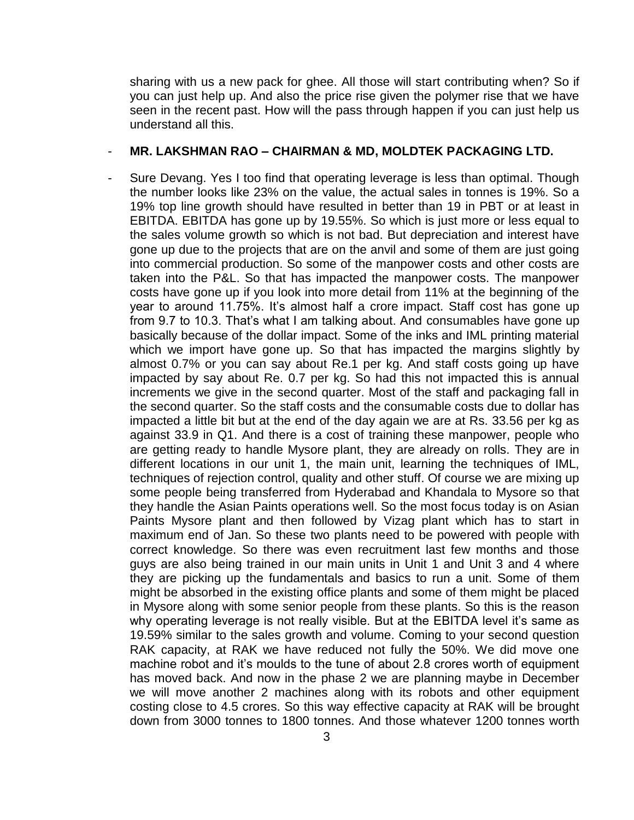sharing with us a new pack for ghee. All those will start contributing when? So if you can just help up. And also the price rise given the polymer rise that we have seen in the recent past. How will the pass through happen if you can just help us understand all this.

#### - **MR. LAKSHMAN RAO – CHAIRMAN & MD, MOLDTEK PACKAGING LTD.**

Sure Devang. Yes I too find that operating leverage is less than optimal. Though the number looks like 23% on the value, the actual sales in tonnes is 19%. So a 19% top line growth should have resulted in better than 19 in PBT or at least in EBITDA. EBITDA has gone up by 19.55%. So which is just more or less equal to the sales volume growth so which is not bad. But depreciation and interest have gone up due to the projects that are on the anvil and some of them are just going into commercial production. So some of the manpower costs and other costs are taken into the P&L. So that has impacted the manpower costs. The manpower costs have gone up if you look into more detail from 11% at the beginning of the year to around 11.75%. It's almost half a crore impact. Staff cost has gone up from 9.7 to 10.3. That's what I am talking about. And consumables have gone up basically because of the dollar impact. Some of the inks and IML printing material which we import have gone up. So that has impacted the margins slightly by almost 0.7% or you can say about Re.1 per kg. And staff costs going up have impacted by say about Re. 0.7 per kg. So had this not impacted this is annual increments we give in the second quarter. Most of the staff and packaging fall in the second quarter. So the staff costs and the consumable costs due to dollar has impacted a little bit but at the end of the day again we are at Rs. 33.56 per kg as against 33.9 in Q1. And there is a cost of training these manpower, people who are getting ready to handle Mysore plant, they are already on rolls. They are in different locations in our unit 1, the main unit, learning the techniques of IML, techniques of rejection control, quality and other stuff. Of course we are mixing up some people being transferred from Hyderabad and Khandala to Mysore so that they handle the Asian Paints operations well. So the most focus today is on Asian Paints Mysore plant and then followed by Vizag plant which has to start in maximum end of Jan. So these two plants need to be powered with people with correct knowledge. So there was even recruitment last few months and those guys are also being trained in our main units in Unit 1 and Unit 3 and 4 where they are picking up the fundamentals and basics to run a unit. Some of them might be absorbed in the existing office plants and some of them might be placed in Mysore along with some senior people from these plants. So this is the reason why operating leverage is not really visible. But at the EBITDA level it's same as 19.59% similar to the sales growth and volume. Coming to your second question RAK capacity, at RAK we have reduced not fully the 50%. We did move one machine robot and it's moulds to the tune of about 2.8 crores worth of equipment has moved back. And now in the phase 2 we are planning maybe in December we will move another 2 machines along with its robots and other equipment costing close to 4.5 crores. So this way effective capacity at RAK will be brought down from 3000 tonnes to 1800 tonnes. And those whatever 1200 tonnes worth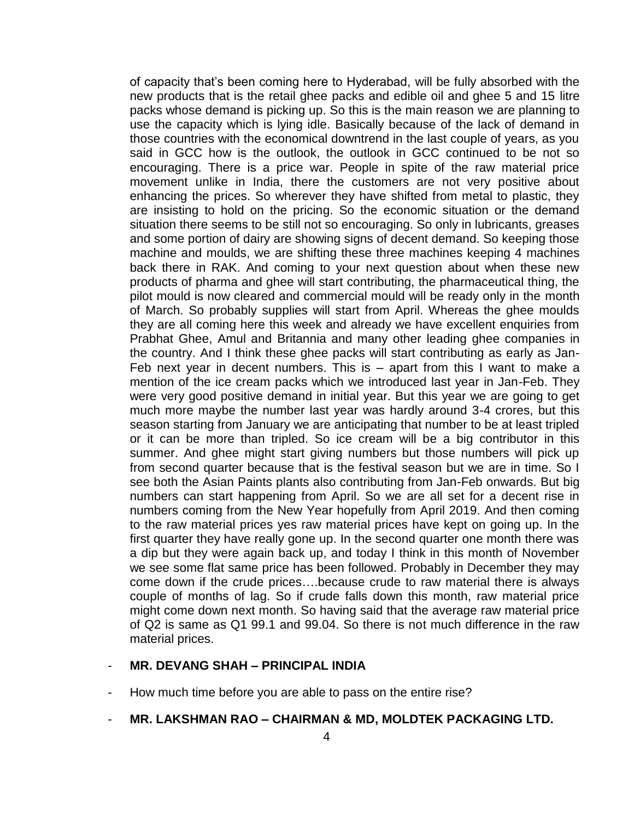of capacity that's been coming here to Hyderabad, will be fully absorbed with the new products that is the retail ghee packs and edible oil and ghee 5 and 15 litre packs whose demand is picking up. So this is the main reason we are planning to use the capacity which is lying idle. Basically because of the lack of demand in those countries with the economical downtrend in the last couple of years, as you said in GCC how is the outlook, the outlook in GCC continued to be not so encouraging. There is a price war. People in spite of the raw material price movement unlike in India, there the customers are not very positive about enhancing the prices. So wherever they have shifted from metal to plastic, they are insisting to hold on the pricing. So the economic situation or the demand situation there seems to be still not so encouraging. So only in lubricants, greases and some portion of dairy are showing signs of decent demand. So keeping those machine and moulds, we are shifting these three machines keeping 4 machines back there in RAK. And coming to your next question about when these new products of pharma and ghee will start contributing, the pharmaceutical thing, the pilot mould is now cleared and commercial mould will be ready only in the month of March. So probably supplies will start from April. Whereas the ghee moulds they are all coming here this week and already we have excellent enquiries from Prabhat Ghee, Amul and Britannia and many other leading ghee companies in the country. And I think these ghee packs will start contributing as early as Jan-Feb next year in decent numbers. This is  $-$  apart from this I want to make a mention of the ice cream packs which we introduced last year in Jan-Feb. They were very good positive demand in initial year. But this year we are going to get much more maybe the number last year was hardly around 3-4 crores, but this season starting from January we are anticipating that number to be at least tripled or it can be more than tripled. So ice cream will be a big contributor in this summer. And ghee might start giving numbers but those numbers will pick up from second quarter because that is the festival season but we are in time. So I see both the Asian Paints plants also contributing from Jan-Feb onwards. But big numbers can start happening from April. So we are all set for a decent rise in numbers coming from the New Year hopefully from April 2019. And then coming to the raw material prices yes raw material prices have kept on going up. In the first quarter they have really gone up. In the second quarter one month there was a dip but they were again back up, and today I think in this month of November we see some flat same price has been followed. Probably in December they may come down if the crude prices….because crude to raw material there is always couple of months of lag. So if crude falls down this month, raw material price might come down next month. So having said that the average raw material price of Q2 is same as Q1 99.1 and 99.04. So there is not much difference in the raw material prices.

#### - **MR. DEVANG SHAH – PRINCIPAL INDIA**

- How much time before you are able to pass on the entire rise?
- **MR. LAKSHMAN RAO – CHAIRMAN & MD, MOLDTEK PACKAGING LTD.**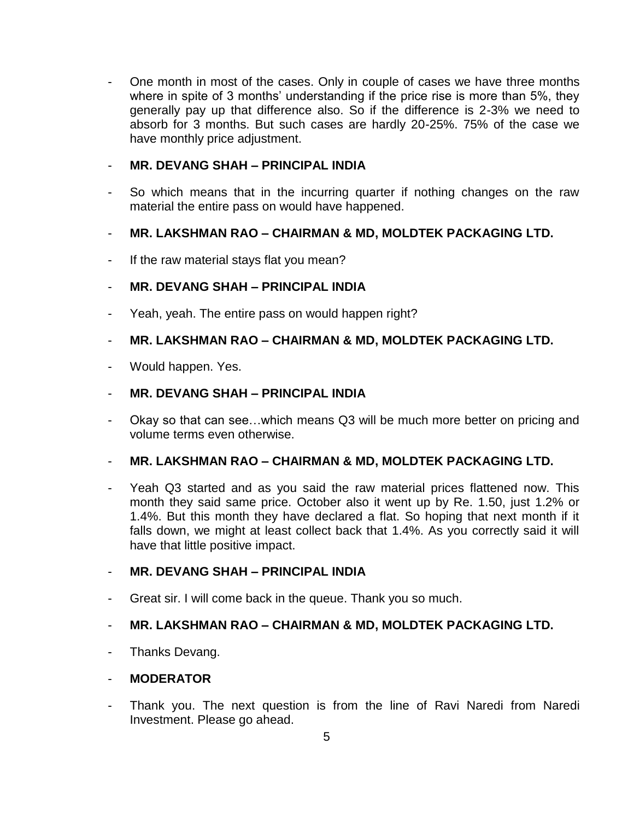- One month in most of the cases. Only in couple of cases we have three months where in spite of 3 months' understanding if the price rise is more than 5%, they generally pay up that difference also. So if the difference is 2-3% we need to absorb for 3 months. But such cases are hardly 20-25%. 75% of the case we have monthly price adjustment.

#### - **MR. DEVANG SHAH – PRINCIPAL INDIA**

So which means that in the incurring quarter if nothing changes on the raw material the entire pass on would have happened.

## - **MR. LAKSHMAN RAO – CHAIRMAN & MD, MOLDTEK PACKAGING LTD.**

If the raw material stays flat you mean?

## - **MR. DEVANG SHAH – PRINCIPAL INDIA**

- Yeah, yeah. The entire pass on would happen right?

## - **MR. LAKSHMAN RAO – CHAIRMAN & MD, MOLDTEK PACKAGING LTD.**

Would happen. Yes.

#### - **MR. DEVANG SHAH – PRINCIPAL INDIA**

Okay so that can see... which means Q3 will be much more better on pricing and volume terms even otherwise.

#### - **MR. LAKSHMAN RAO – CHAIRMAN & MD, MOLDTEK PACKAGING LTD.**

- Yeah Q3 started and as you said the raw material prices flattened now. This month they said same price. October also it went up by Re. 1.50, just 1.2% or 1.4%. But this month they have declared a flat. So hoping that next month if it falls down, we might at least collect back that 1.4%. As you correctly said it will have that little positive impact.

#### - **MR. DEVANG SHAH – PRINCIPAL INDIA**

Great sir. I will come back in the queue. Thank you so much.

## - **MR. LAKSHMAN RAO – CHAIRMAN & MD, MOLDTEK PACKAGING LTD.**

- Thanks Devang.

## - **MODERATOR**

Thank you. The next question is from the line of Ravi Naredi from Naredi Investment. Please go ahead.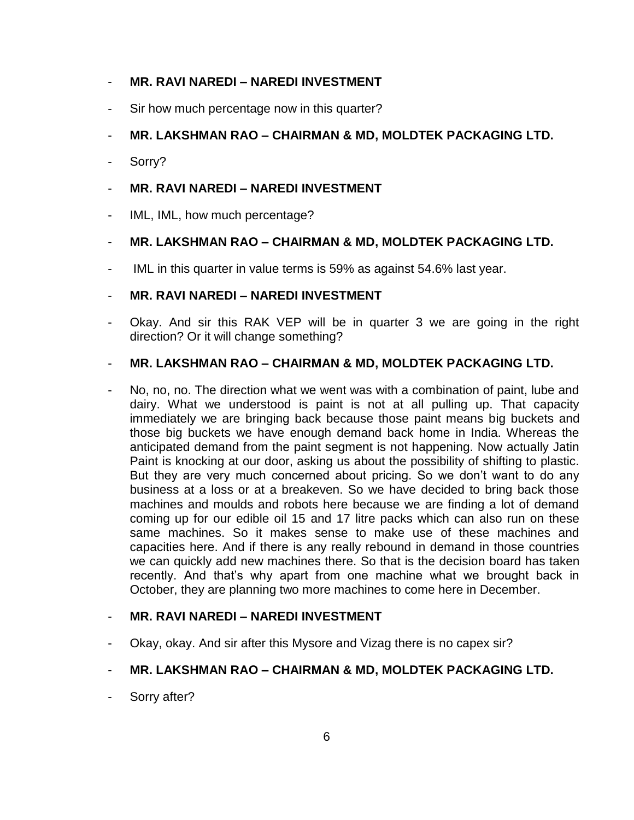#### - **MR. RAVI NAREDI – NAREDI INVESTMENT**

Sir how much percentage now in this quarter?

## - **MR. LAKSHMAN RAO – CHAIRMAN & MD, MOLDTEK PACKAGING LTD.**

Sorry?

#### - **MR. RAVI NAREDI – NAREDI INVESTMENT**

IML, IML, how much percentage?

#### - **MR. LAKSHMAN RAO – CHAIRMAN & MD, MOLDTEK PACKAGING LTD.**

- IML in this quarter in value terms is 59% as against 54.6% last year.

#### - **MR. RAVI NAREDI – NAREDI INVESTMENT**

Okay. And sir this RAK VEP will be in quarter 3 we are going in the right direction? Or it will change something?

#### - **MR. LAKSHMAN RAO – CHAIRMAN & MD, MOLDTEK PACKAGING LTD.**

No, no, no. The direction what we went was with a combination of paint, lube and dairy. What we understood is paint is not at all pulling up. That capacity immediately we are bringing back because those paint means big buckets and those big buckets we have enough demand back home in India. Whereas the anticipated demand from the paint segment is not happening. Now actually Jatin Paint is knocking at our door, asking us about the possibility of shifting to plastic. But they are very much concerned about pricing. So we don't want to do any business at a loss or at a breakeven. So we have decided to bring back those machines and moulds and robots here because we are finding a lot of demand coming up for our edible oil 15 and 17 litre packs which can also run on these same machines. So it makes sense to make use of these machines and capacities here. And if there is any really rebound in demand in those countries we can quickly add new machines there. So that is the decision board has taken recently. And that's why apart from one machine what we brought back in October, they are planning two more machines to come here in December.

#### - **MR. RAVI NAREDI – NAREDI INVESTMENT**

Okay, okay. And sir after this Mysore and Vizag there is no capex sir?

## - **MR. LAKSHMAN RAO – CHAIRMAN & MD, MOLDTEK PACKAGING LTD.**

Sorry after?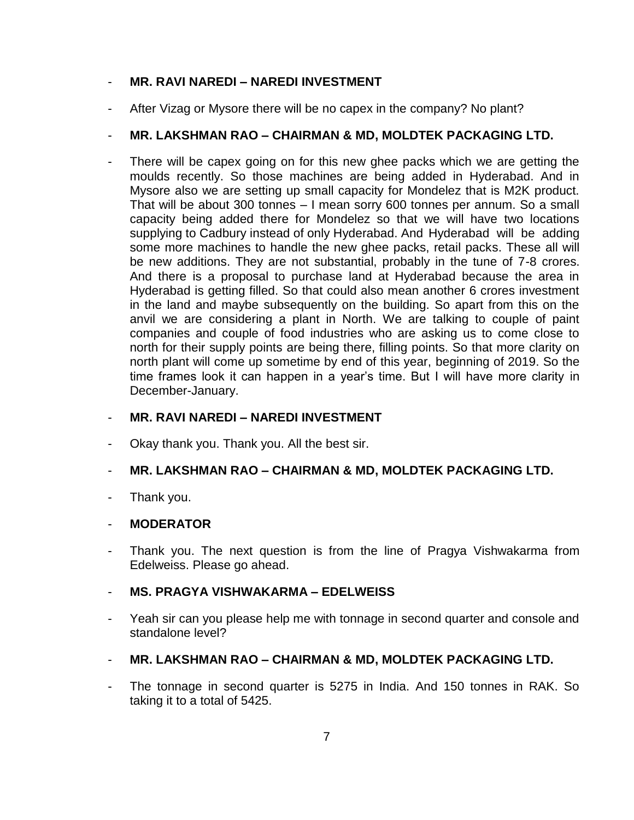#### - **MR. RAVI NAREDI – NAREDI INVESTMENT**

After Vizag or Mysore there will be no capex in the company? No plant?

## - **MR. LAKSHMAN RAO – CHAIRMAN & MD, MOLDTEK PACKAGING LTD.**

There will be capex going on for this new ghee packs which we are getting the moulds recently. So those machines are being added in Hyderabad. And in Mysore also we are setting up small capacity for Mondelez that is M2K product. That will be about 300 tonnes – I mean sorry 600 tonnes per annum. So a small capacity being added there for Mondelez so that we will have two locations supplying to Cadbury instead of only Hyderabad. And Hyderabad will be adding some more machines to handle the new ghee packs, retail packs. These all will be new additions. They are not substantial, probably in the tune of 7-8 crores. And there is a proposal to purchase land at Hyderabad because the area in Hyderabad is getting filled. So that could also mean another 6 crores investment in the land and maybe subsequently on the building. So apart from this on the anvil we are considering a plant in North. We are talking to couple of paint companies and couple of food industries who are asking us to come close to north for their supply points are being there, filling points. So that more clarity on north plant will come up sometime by end of this year, beginning of 2019. So the time frames look it can happen in a year's time. But I will have more clarity in December-January.

#### - **MR. RAVI NAREDI – NAREDI INVESTMENT**

Okay thank you. Thank you. All the best sir.

#### - **MR. LAKSHMAN RAO – CHAIRMAN & MD, MOLDTEK PACKAGING LTD.**

Thank you.

#### - **MODERATOR**

Thank you. The next question is from the line of Pragya Vishwakarma from Edelweiss. Please go ahead.

#### - **MS. PRAGYA VISHWAKARMA – EDELWEISS**

- Yeah sir can you please help me with tonnage in second quarter and console and standalone level?
- **MR. LAKSHMAN RAO – CHAIRMAN & MD, MOLDTEK PACKAGING LTD.**
- The tonnage in second quarter is 5275 in India. And 150 tonnes in RAK. So taking it to a total of 5425.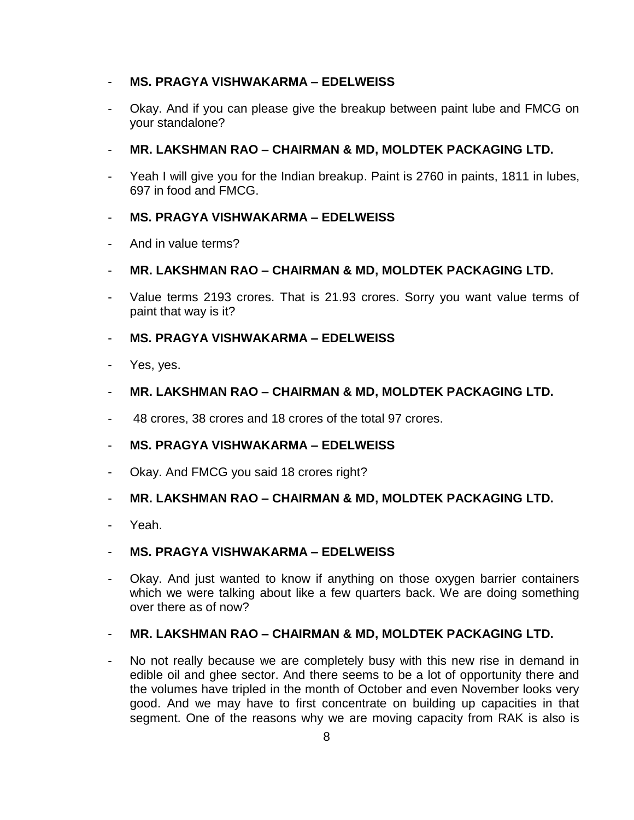#### - **MS. PRAGYA VISHWAKARMA – EDELWEISS**

- Okay. And if you can please give the breakup between paint lube and FMCG on your standalone?
- **MR. LAKSHMAN RAO – CHAIRMAN & MD, MOLDTEK PACKAGING LTD.**
- Yeah I will give you for the Indian breakup. Paint is 2760 in paints, 1811 in lubes, 697 in food and FMCG.

#### - **MS. PRAGYA VISHWAKARMA – EDELWEISS**

- And in value terms?
- **MR. LAKSHMAN RAO – CHAIRMAN & MD, MOLDTEK PACKAGING LTD.**
- Value terms 2193 crores. That is 21.93 crores. Sorry you want value terms of paint that way is it?
- **MS. PRAGYA VISHWAKARMA – EDELWEISS**
- Yes, yes.
- **MR. LAKSHMAN RAO – CHAIRMAN & MD, MOLDTEK PACKAGING LTD.**
- 48 crores, 38 crores and 18 crores of the total 97 crores.

#### - **MS. PRAGYA VISHWAKARMA – EDELWEISS**

Okay. And FMCG you said 18 crores right?

#### - **MR. LAKSHMAN RAO – CHAIRMAN & MD, MOLDTEK PACKAGING LTD.**

Yeah.

#### - **MS. PRAGYA VISHWAKARMA – EDELWEISS**

Okay. And just wanted to know if anything on those oxygen barrier containers which we were talking about like a few quarters back. We are doing something over there as of now?

#### - **MR. LAKSHMAN RAO – CHAIRMAN & MD, MOLDTEK PACKAGING LTD.**

No not really because we are completely busy with this new rise in demand in edible oil and ghee sector. And there seems to be a lot of opportunity there and the volumes have tripled in the month of October and even November looks very good. And we may have to first concentrate on building up capacities in that segment. One of the reasons why we are moving capacity from RAK is also is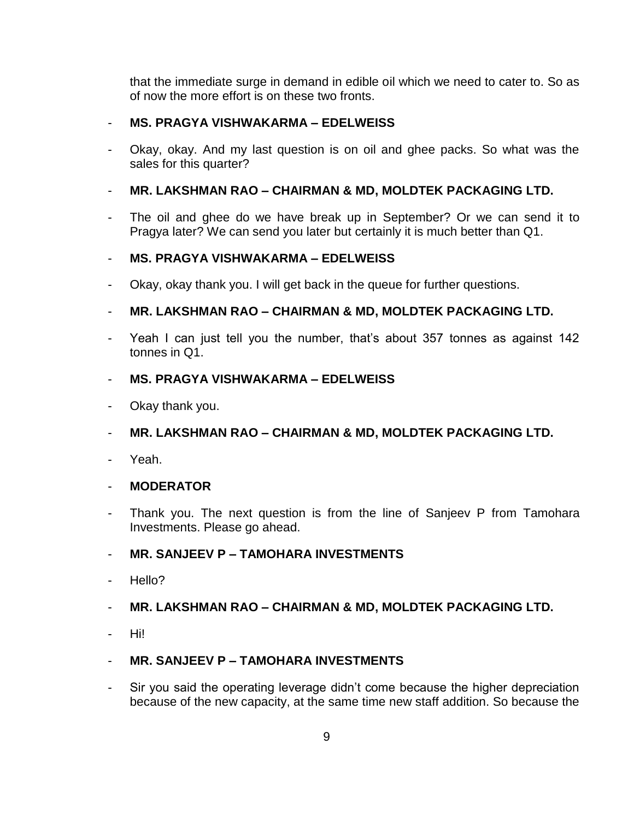that the immediate surge in demand in edible oil which we need to cater to. So as of now the more effort is on these two fronts.

#### - **MS. PRAGYA VISHWAKARMA – EDELWEISS**

- Okay, okay. And my last question is on oil and ghee packs. So what was the sales for this quarter?

## - **MR. LAKSHMAN RAO – CHAIRMAN & MD, MOLDTEK PACKAGING LTD.**

The oil and ghee do we have break up in September? Or we can send it to Pragya later? We can send you later but certainly it is much better than Q1.

## - **MS. PRAGYA VISHWAKARMA – EDELWEISS**

Okay, okay thank you. I will get back in the queue for further questions.

# - **MR. LAKSHMAN RAO – CHAIRMAN & MD, MOLDTEK PACKAGING LTD.**

Yeah I can just tell you the number, that's about 357 tonnes as against 142 tonnes in Q1.

#### - **MS. PRAGYA VISHWAKARMA – EDELWEISS**

Okay thank you.

# - **MR. LAKSHMAN RAO – CHAIRMAN & MD, MOLDTEK PACKAGING LTD.**

Yeah.

## - **MODERATOR**

Thank you. The next question is from the line of Sanjeev P from Tamohara Investments. Please go ahead.

## - **MR. SANJEEV P – TAMOHARA INVESTMENTS**

Hello?

## - **MR. LAKSHMAN RAO – CHAIRMAN & MD, MOLDTEK PACKAGING LTD.**

- Hi!

## - **MR. SANJEEV P – TAMOHARA INVESTMENTS**

Sir you said the operating leverage didn't come because the higher depreciation because of the new capacity, at the same time new staff addition. So because the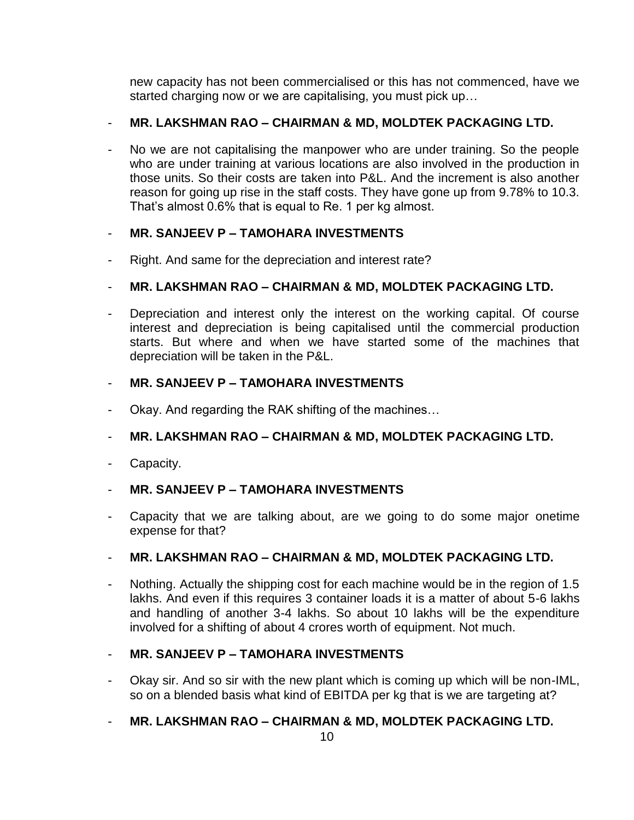new capacity has not been commercialised or this has not commenced, have we started charging now or we are capitalising, you must pick up…

# - **MR. LAKSHMAN RAO – CHAIRMAN & MD, MOLDTEK PACKAGING LTD.**

- No we are not capitalising the manpower who are under training. So the people who are under training at various locations are also involved in the production in those units. So their costs are taken into P&L. And the increment is also another reason for going up rise in the staff costs. They have gone up from 9.78% to 10.3. That's almost 0.6% that is equal to Re. 1 per kg almost.

# - **MR. SANJEEV P – TAMOHARA INVESTMENTS**

Right. And same for the depreciation and interest rate?

# - **MR. LAKSHMAN RAO – CHAIRMAN & MD, MOLDTEK PACKAGING LTD.**

Depreciation and interest only the interest on the working capital. Of course interest and depreciation is being capitalised until the commercial production starts. But where and when we have started some of the machines that depreciation will be taken in the P&L.

# - **MR. SANJEEV P – TAMOHARA INVESTMENTS**

Okay. And regarding the RAK shifting of the machines...

## - **MR. LAKSHMAN RAO – CHAIRMAN & MD, MOLDTEK PACKAGING LTD.**

- Capacity.

## - **MR. SANJEEV P – TAMOHARA INVESTMENTS**

Capacity that we are talking about, are we going to do some major onetime expense for that?

## - **MR. LAKSHMAN RAO – CHAIRMAN & MD, MOLDTEK PACKAGING LTD.**

Nothing. Actually the shipping cost for each machine would be in the region of 1.5 lakhs. And even if this requires 3 container loads it is a matter of about 5-6 lakhs and handling of another 3-4 lakhs. So about 10 lakhs will be the expenditure involved for a shifting of about 4 crores worth of equipment. Not much.

## - **MR. SANJEEV P – TAMOHARA INVESTMENTS**

Okay sir. And so sir with the new plant which is coming up which will be non-IML, so on a blended basis what kind of EBITDA per kg that is we are targeting at?

# - **MR. LAKSHMAN RAO – CHAIRMAN & MD, MOLDTEK PACKAGING LTD.**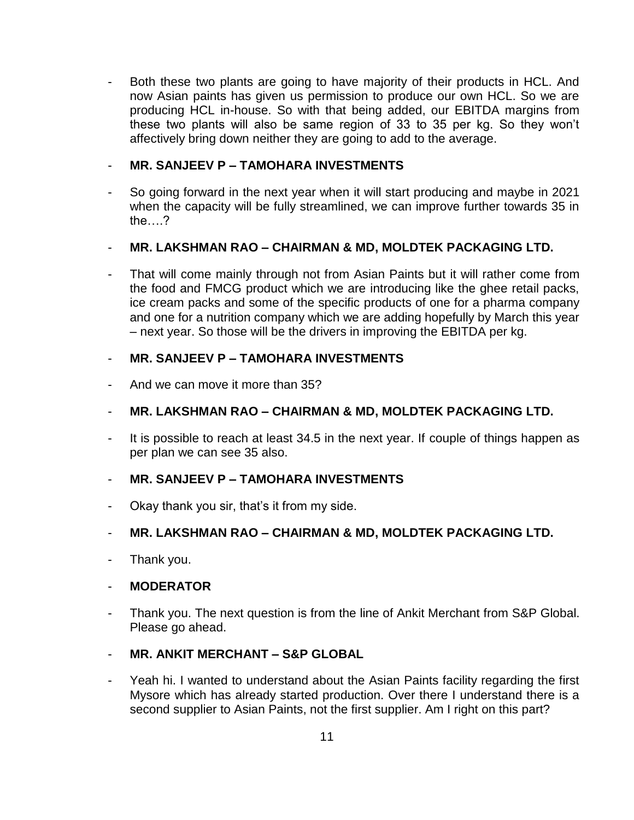Both these two plants are going to have majority of their products in HCL. And now Asian paints has given us permission to produce our own HCL. So we are producing HCL in-house. So with that being added, our EBITDA margins from these two plants will also be same region of 33 to 35 per kg. So they won't affectively bring down neither they are going to add to the average.

#### - **MR. SANJEEV P – TAMOHARA INVESTMENTS**

- So going forward in the next year when it will start producing and maybe in 2021 when the capacity will be fully streamlined, we can improve further towards 35 in the….?

#### - **MR. LAKSHMAN RAO – CHAIRMAN & MD, MOLDTEK PACKAGING LTD.**

That will come mainly through not from Asian Paints but it will rather come from the food and FMCG product which we are introducing like the ghee retail packs, ice cream packs and some of the specific products of one for a pharma company and one for a nutrition company which we are adding hopefully by March this year – next year. So those will be the drivers in improving the EBITDA per kg.

#### - **MR. SANJEEV P – TAMOHARA INVESTMENTS**

And we can move it more than 35?

## - **MR. LAKSHMAN RAO – CHAIRMAN & MD, MOLDTEK PACKAGING LTD.**

It is possible to reach at least 34.5 in the next year. If couple of things happen as per plan we can see 35 also.

#### - **MR. SANJEEV P – TAMOHARA INVESTMENTS**

Okay thank you sir, that's it from my side.

#### - **MR. LAKSHMAN RAO – CHAIRMAN & MD, MOLDTEK PACKAGING LTD.**

- Thank you.

#### - **MODERATOR**

Thank you. The next question is from the line of Ankit Merchant from S&P Global. Please go ahead.

#### - **MR. ANKIT MERCHANT – S&P GLOBAL**

Yeah hi. I wanted to understand about the Asian Paints facility regarding the first Mysore which has already started production. Over there I understand there is a second supplier to Asian Paints, not the first supplier. Am I right on this part?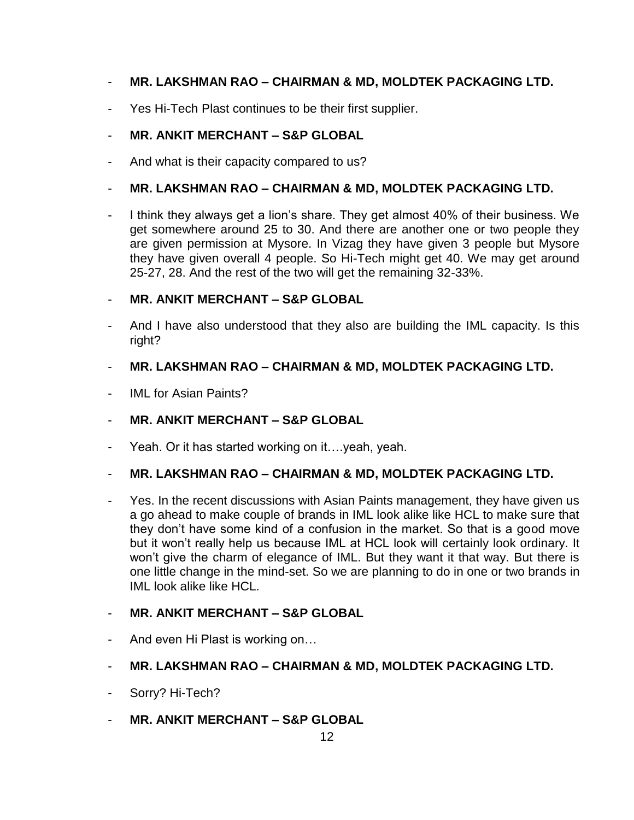# - **MR. LAKSHMAN RAO – CHAIRMAN & MD, MOLDTEK PACKAGING LTD.**

Yes Hi-Tech Plast continues to be their first supplier.

# - **MR. ANKIT MERCHANT – S&P GLOBAL**

And what is their capacity compared to us?

#### - **MR. LAKSHMAN RAO – CHAIRMAN & MD, MOLDTEK PACKAGING LTD.**

I think they always get a lion's share. They get almost 40% of their business. We get somewhere around 25 to 30. And there are another one or two people they are given permission at Mysore. In Vizag they have given 3 people but Mysore they have given overall 4 people. So Hi-Tech might get 40. We may get around 25-27, 28. And the rest of the two will get the remaining 32-33%.

#### - **MR. ANKIT MERCHANT – S&P GLOBAL**

- And I have also understood that they also are building the IML capacity. Is this right?

#### - **MR. LAKSHMAN RAO – CHAIRMAN & MD, MOLDTEK PACKAGING LTD.**

IMI for Asian Paints?

## - **MR. ANKIT MERCHANT – S&P GLOBAL**

Yeah. Or it has started working on it..., yeah, yeah.

## - **MR. LAKSHMAN RAO – CHAIRMAN & MD, MOLDTEK PACKAGING LTD.**

Yes. In the recent discussions with Asian Paints management, they have given us a go ahead to make couple of brands in IML look alike like HCL to make sure that they don't have some kind of a confusion in the market. So that is a good move but it won't really help us because IML at HCL look will certainly look ordinary. It won't give the charm of elegance of IML. But they want it that way. But there is one little change in the mind-set. So we are planning to do in one or two brands in IML look alike like HCL.

## - **MR. ANKIT MERCHANT – S&P GLOBAL**

- And even Hi Plast is working on…
- **MR. LAKSHMAN RAO – CHAIRMAN & MD, MOLDTEK PACKAGING LTD.**
- Sorry? Hi-Tech?
- **MR. ANKIT MERCHANT – S&P GLOBAL**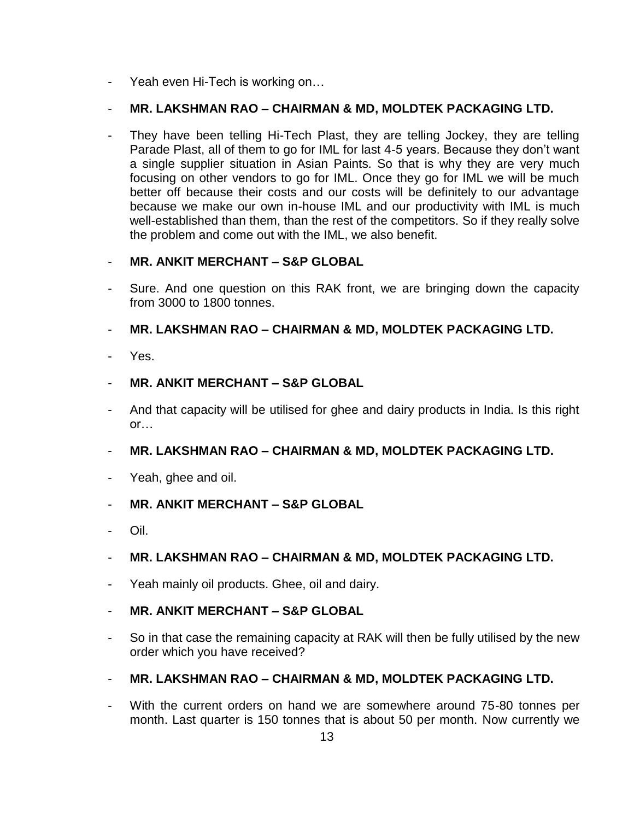- Yeah even Hi-Tech is working on…

## - **MR. LAKSHMAN RAO – CHAIRMAN & MD, MOLDTEK PACKAGING LTD.**

They have been telling Hi-Tech Plast, they are telling Jockey, they are telling Parade Plast, all of them to go for IML for last 4-5 years. Because they don't want a single supplier situation in Asian Paints. So that is why they are very much focusing on other vendors to go for IML. Once they go for IML we will be much better off because their costs and our costs will be definitely to our advantage because we make our own in-house IML and our productivity with IML is much well-established than them, than the rest of the competitors. So if they really solve the problem and come out with the IML, we also benefit.

## - **MR. ANKIT MERCHANT – S&P GLOBAL**

- Sure. And one question on this RAK front, we are bringing down the capacity from 3000 to 1800 tonnes.
- **MR. LAKSHMAN RAO – CHAIRMAN & MD, MOLDTEK PACKAGING LTD.**
- Yes.
- **MR. ANKIT MERCHANT – S&P GLOBAL**
- And that capacity will be utilised for ghee and dairy products in India. Is this right or…
- **MR. LAKSHMAN RAO – CHAIRMAN & MD, MOLDTEK PACKAGING LTD.**
- Yeah, ghee and oil.
- **MR. ANKIT MERCHANT – S&P GLOBAL**
- Oil.
- **MR. LAKSHMAN RAO – CHAIRMAN & MD, MOLDTEK PACKAGING LTD.**
- Yeah mainly oil products. Ghee, oil and dairy.
- **MR. ANKIT MERCHANT – S&P GLOBAL**
- So in that case the remaining capacity at RAK will then be fully utilised by the new order which you have received?
- **MR. LAKSHMAN RAO – CHAIRMAN & MD, MOLDTEK PACKAGING LTD.**
- With the current orders on hand we are somewhere around 75-80 tonnes per month. Last quarter is 150 tonnes that is about 50 per month. Now currently we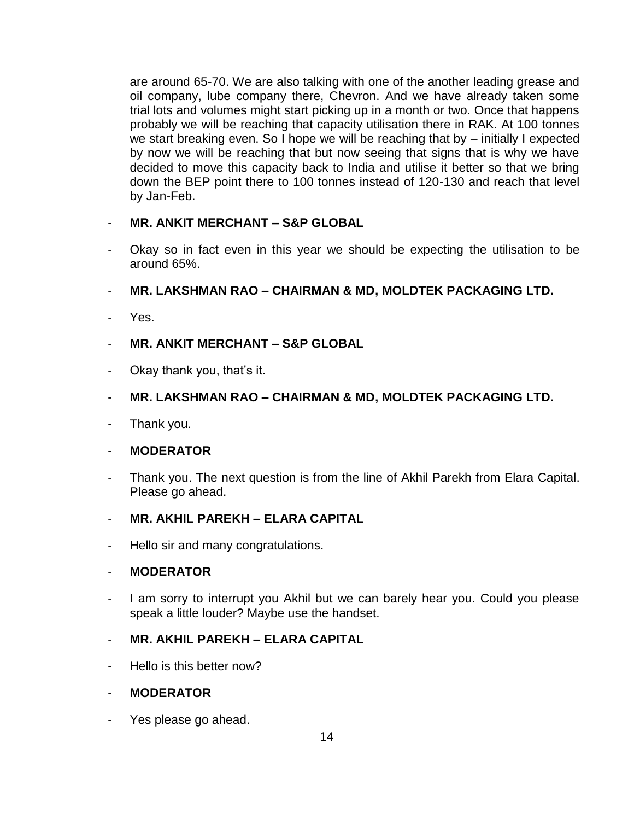are around 65-70. We are also talking with one of the another leading grease and oil company, lube company there, Chevron. And we have already taken some trial lots and volumes might start picking up in a month or two. Once that happens probably we will be reaching that capacity utilisation there in RAK. At 100 tonnes we start breaking even. So I hope we will be reaching that by – initially I expected by now we will be reaching that but now seeing that signs that is why we have decided to move this capacity back to India and utilise it better so that we bring down the BEP point there to 100 tonnes instead of 120-130 and reach that level by Jan-Feb.

## - **MR. ANKIT MERCHANT – S&P GLOBAL**

- Okay so in fact even in this year we should be expecting the utilisation to be around 65%.
- **MR. LAKSHMAN RAO – CHAIRMAN & MD, MOLDTEK PACKAGING LTD.**
- Yes.
- **MR. ANKIT MERCHANT – S&P GLOBAL**
- Okay thank you, that's it.
- **MR. LAKSHMAN RAO – CHAIRMAN & MD, MOLDTEK PACKAGING LTD.**
- Thank you.
- **MODERATOR**
- Thank you. The next question is from the line of Akhil Parekh from Elara Capital. Please go ahead.
- **MR. AKHIL PAREKH – ELARA CAPITAL**
- Hello sir and many congratulations.

## - **MODERATOR**

I am sorry to interrupt you Akhil but we can barely hear you. Could you please speak a little louder? Maybe use the handset.

## - **MR. AKHIL PAREKH – ELARA CAPITAL**

- Hello is this better now?
- **MODERATOR**
- Yes please go ahead.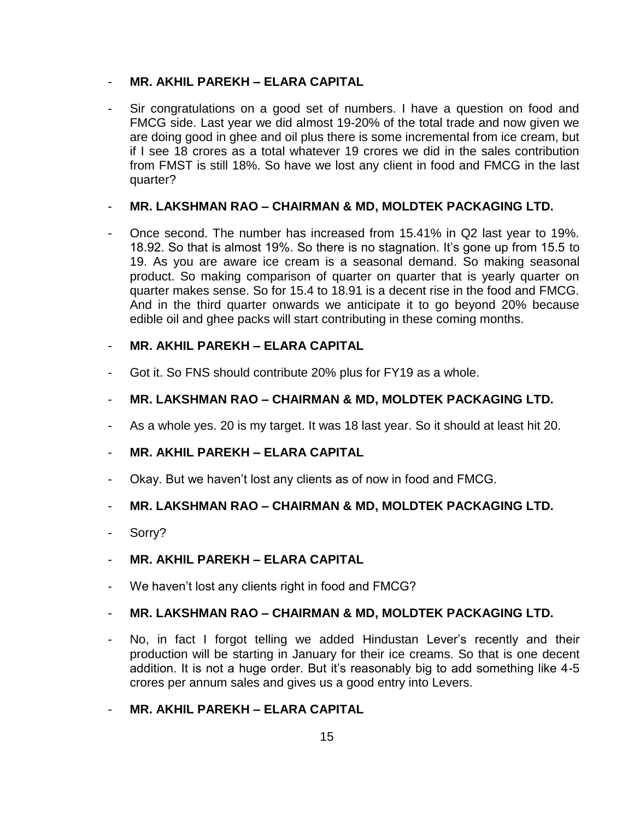#### - **MR. AKHIL PAREKH – ELARA CAPITAL**

Sir congratulations on a good set of numbers. I have a question on food and FMCG side. Last year we did almost 19-20% of the total trade and now given we are doing good in ghee and oil plus there is some incremental from ice cream, but if I see 18 crores as a total whatever 19 crores we did in the sales contribution from FMST is still 18%. So have we lost any client in food and FMCG in the last quarter?

#### - **MR. LAKSHMAN RAO – CHAIRMAN & MD, MOLDTEK PACKAGING LTD.**

Once second. The number has increased from 15.41% in Q2 last year to 19%. 18.92. So that is almost 19%. So there is no stagnation. It's gone up from 15.5 to 19. As you are aware ice cream is a seasonal demand. So making seasonal product. So making comparison of quarter on quarter that is yearly quarter on quarter makes sense. So for 15.4 to 18.91 is a decent rise in the food and FMCG. And in the third quarter onwards we anticipate it to go beyond 20% because edible oil and ghee packs will start contributing in these coming months.

## - **MR. AKHIL PAREKH – ELARA CAPITAL**

Got it. So FNS should contribute 20% plus for FY19 as a whole.

## - **MR. LAKSHMAN RAO – CHAIRMAN & MD, MOLDTEK PACKAGING LTD.**

- As a whole yes. 20 is my target. It was 18 last year. So it should at least hit 20.
- **MR. AKHIL PAREKH – ELARA CAPITAL**
- Okay. But we haven't lost any clients as of now in food and FMCG.

## - **MR. LAKSHMAN RAO – CHAIRMAN & MD, MOLDTEK PACKAGING LTD.**

Sorry?

## - **MR. AKHIL PAREKH – ELARA CAPITAL**

- We haven't lost any clients right in food and FMCG?

## - **MR. LAKSHMAN RAO – CHAIRMAN & MD, MOLDTEK PACKAGING LTD.**

No, in fact I forgot telling we added Hindustan Lever's recently and their production will be starting in January for their ice creams. So that is one decent addition. It is not a huge order. But it's reasonably big to add something like 4-5 crores per annum sales and gives us a good entry into Levers.

## - **MR. AKHIL PAREKH – ELARA CAPITAL**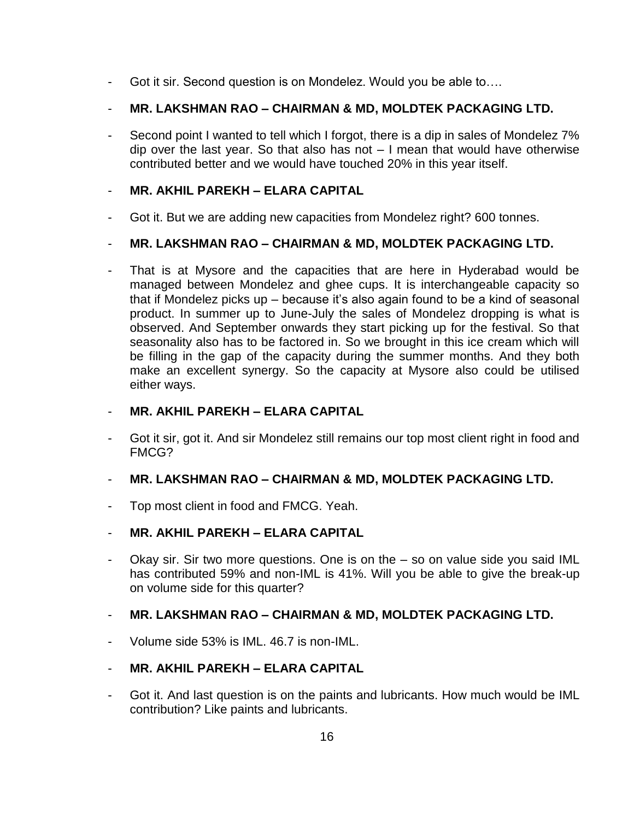- Got it sir. Second question is on Mondelez. Would you be able to….

# - **MR. LAKSHMAN RAO – CHAIRMAN & MD, MOLDTEK PACKAGING LTD.**

Second point I wanted to tell which I forgot, there is a dip in sales of Mondelez 7% dip over the last year. So that also has not – I mean that would have otherwise contributed better and we would have touched 20% in this year itself.

# - **MR. AKHIL PAREKH – ELARA CAPITAL**

Got it. But we are adding new capacities from Mondelez right? 600 tonnes.

# - **MR. LAKSHMAN RAO – CHAIRMAN & MD, MOLDTEK PACKAGING LTD.**

That is at Mysore and the capacities that are here in Hyderabad would be managed between Mondelez and ghee cups. It is interchangeable capacity so that if Mondelez picks up – because it's also again found to be a kind of seasonal product. In summer up to June-July the sales of Mondelez dropping is what is observed. And September onwards they start picking up for the festival. So that seasonality also has to be factored in. So we brought in this ice cream which will be filling in the gap of the capacity during the summer months. And they both make an excellent synergy. So the capacity at Mysore also could be utilised either ways.

## - **MR. AKHIL PAREKH – ELARA CAPITAL**

Got it sir, got it. And sir Mondelez still remains our top most client right in food and FMCG?

## - **MR. LAKSHMAN RAO – CHAIRMAN & MD, MOLDTEK PACKAGING LTD.**

- Top most client in food and FMCG. Yeah.
- **MR. AKHIL PAREKH – ELARA CAPITAL**
- Okay sir. Sir two more questions. One is on the so on value side you said IML has contributed 59% and non-IML is 41%. Will you be able to give the break-up on volume side for this quarter?

## - **MR. LAKSHMAN RAO – CHAIRMAN & MD, MOLDTEK PACKAGING LTD.**

Volume side 53% is IML. 46.7 is non-IML.

# - **MR. AKHIL PAREKH – ELARA CAPITAL**

Got it. And last question is on the paints and lubricants. How much would be IML contribution? Like paints and lubricants.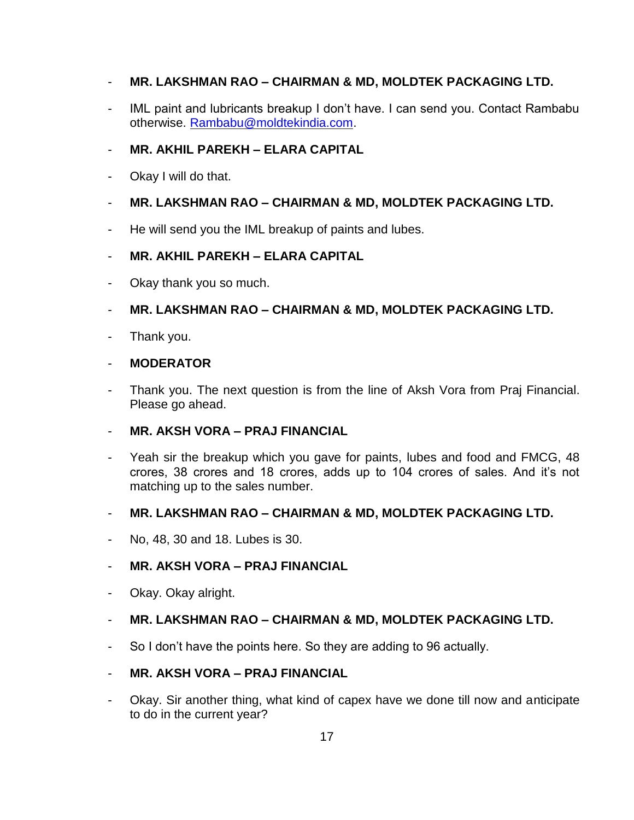# - **MR. LAKSHMAN RAO – CHAIRMAN & MD, MOLDTEK PACKAGING LTD.**

IML paint and lubricants breakup I don't have. I can send you. Contact Rambabu otherwise. [Rambabu@moldtekindia.com.](mailto:Rambabu@moldtekindia.com)

# - **MR. AKHIL PAREKH – ELARA CAPITAL**

Okay I will do that.

# - **MR. LAKSHMAN RAO – CHAIRMAN & MD, MOLDTEK PACKAGING LTD.**

He will send you the IML breakup of paints and lubes.

## - **MR. AKHIL PAREKH – ELARA CAPITAL**

- Okay thank you so much.
- **MR. LAKSHMAN RAO – CHAIRMAN & MD, MOLDTEK PACKAGING LTD.**
- Thank you.

#### - **MODERATOR**

Thank you. The next question is from the line of Aksh Vora from Praj Financial. Please go ahead.

## - **MR. AKSH VORA – PRAJ FINANCIAL**

Yeah sir the breakup which you gave for paints, lubes and food and FMCG, 48 crores, 38 crores and 18 crores, adds up to 104 crores of sales. And it's not matching up to the sales number.

## - **MR. LAKSHMAN RAO – CHAIRMAN & MD, MOLDTEK PACKAGING LTD.**

- No, 48, 30 and 18. Lubes is 30.

## - **MR. AKSH VORA – PRAJ FINANCIAL**

- Okay. Okay alright.

## - **MR. LAKSHMAN RAO – CHAIRMAN & MD, MOLDTEK PACKAGING LTD.**

- So I don't have the points here. So they are adding to 96 actually.

#### - **MR. AKSH VORA – PRAJ FINANCIAL**

Okay. Sir another thing, what kind of capex have we done till now and anticipate to do in the current year?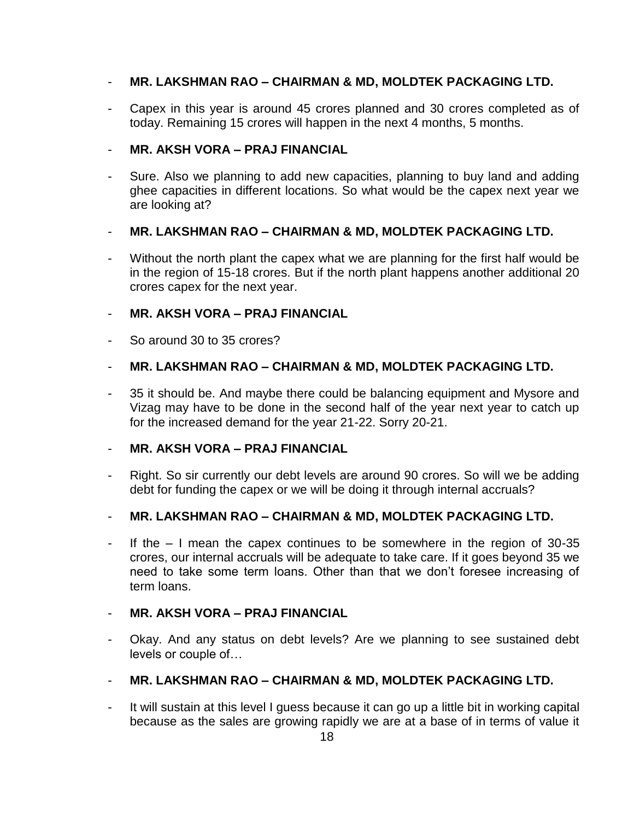## - **MR. LAKSHMAN RAO – CHAIRMAN & MD, MOLDTEK PACKAGING LTD.**

Capex in this year is around 45 crores planned and 30 crores completed as of today. Remaining 15 crores will happen in the next 4 months, 5 months.

# - **MR. AKSH VORA – PRAJ FINANCIAL**

Sure. Also we planning to add new capacities, planning to buy land and adding ghee capacities in different locations. So what would be the capex next year we are looking at?

# - **MR. LAKSHMAN RAO – CHAIRMAN & MD, MOLDTEK PACKAGING LTD.**

Without the north plant the capex what we are planning for the first half would be in the region of 15-18 crores. But if the north plant happens another additional 20 crores capex for the next year.

# - **MR. AKSH VORA – PRAJ FINANCIAL**

So around 30 to 35 crores?

# - **MR. LAKSHMAN RAO – CHAIRMAN & MD, MOLDTEK PACKAGING LTD.**

- 35 it should be. And maybe there could be balancing equipment and Mysore and Vizag may have to be done in the second half of the year next year to catch up for the increased demand for the year 21-22. Sorry 20-21.

## - **MR. AKSH VORA – PRAJ FINANCIAL**

- Right. So sir currently our debt levels are around 90 crores. So will we be adding debt for funding the capex or we will be doing it through internal accruals?

## - **MR. LAKSHMAN RAO – CHAIRMAN & MD, MOLDTEK PACKAGING LTD.**

If the  $-$  I mean the capex continues to be somewhere in the region of 30-35 crores, our internal accruals will be adequate to take care. If it goes beyond 35 we need to take some term loans. Other than that we don't foresee increasing of term loans.

## - **MR. AKSH VORA – PRAJ FINANCIAL**

- Okay. And any status on debt levels? Are we planning to see sustained debt levels or couple of…

## - **MR. LAKSHMAN RAO – CHAIRMAN & MD, MOLDTEK PACKAGING LTD.**

- It will sustain at this level I guess because it can go up a little bit in working capital because as the sales are growing rapidly we are at a base of in terms of value it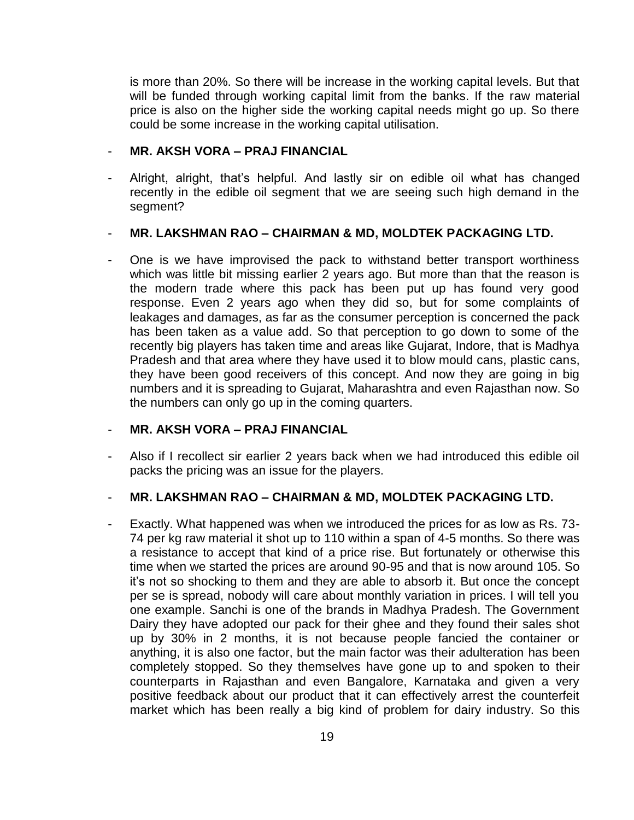is more than 20%. So there will be increase in the working capital levels. But that will be funded through working capital limit from the banks. If the raw material price is also on the higher side the working capital needs might go up. So there could be some increase in the working capital utilisation.

#### - **MR. AKSH VORA – PRAJ FINANCIAL**

Alright, alright, that's helpful. And lastly sir on edible oil what has changed recently in the edible oil segment that we are seeing such high demand in the segment?

#### - **MR. LAKSHMAN RAO – CHAIRMAN & MD, MOLDTEK PACKAGING LTD.**

One is we have improvised the pack to withstand better transport worthiness which was little bit missing earlier 2 years ago. But more than that the reason is the modern trade where this pack has been put up has found very good response. Even 2 years ago when they did so, but for some complaints of leakages and damages, as far as the consumer perception is concerned the pack has been taken as a value add. So that perception to go down to some of the recently big players has taken time and areas like Gujarat, Indore, that is Madhya Pradesh and that area where they have used it to blow mould cans, plastic cans, they have been good receivers of this concept. And now they are going in big numbers and it is spreading to Gujarat, Maharashtra and even Rajasthan now. So the numbers can only go up in the coming quarters.

#### - **MR. AKSH VORA – PRAJ FINANCIAL**

- Also if I recollect sir earlier 2 years back when we had introduced this edible oil packs the pricing was an issue for the players.

#### - **MR. LAKSHMAN RAO – CHAIRMAN & MD, MOLDTEK PACKAGING LTD.**

Exactly. What happened was when we introduced the prices for as low as Rs. 73-74 per kg raw material it shot up to 110 within a span of 4-5 months. So there was a resistance to accept that kind of a price rise. But fortunately or otherwise this time when we started the prices are around 90-95 and that is now around 105. So it's not so shocking to them and they are able to absorb it. But once the concept per se is spread, nobody will care about monthly variation in prices. I will tell you one example. Sanchi is one of the brands in Madhya Pradesh. The Government Dairy they have adopted our pack for their ghee and they found their sales shot up by 30% in 2 months, it is not because people fancied the container or anything, it is also one factor, but the main factor was their adulteration has been completely stopped. So they themselves have gone up to and spoken to their counterparts in Rajasthan and even Bangalore, Karnataka and given a very positive feedback about our product that it can effectively arrest the counterfeit market which has been really a big kind of problem for dairy industry. So this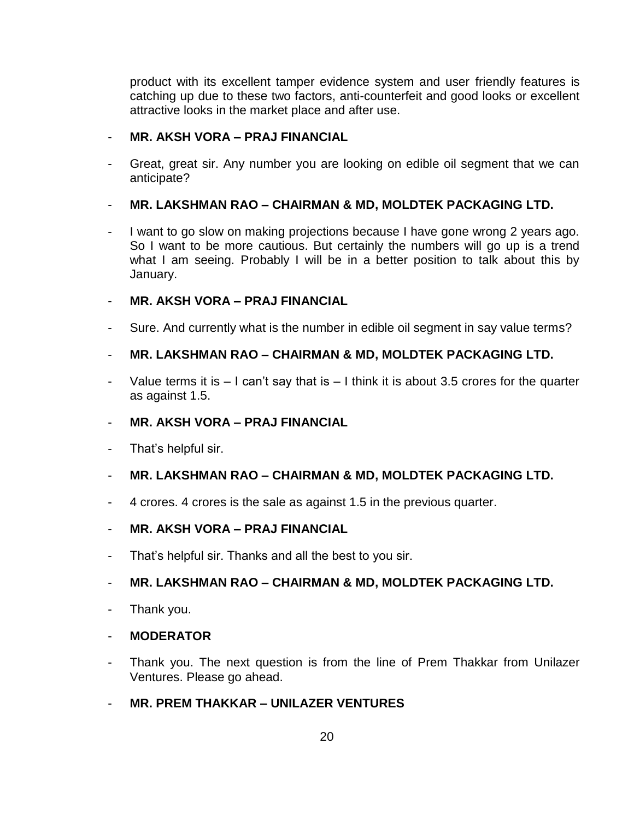product with its excellent tamper evidence system and user friendly features is catching up due to these two factors, anti-counterfeit and good looks or excellent attractive looks in the market place and after use.

## - **MR. AKSH VORA – PRAJ FINANCIAL**

Great, great sir. Any number you are looking on edible oil segment that we can anticipate?

# - **MR. LAKSHMAN RAO – CHAIRMAN & MD, MOLDTEK PACKAGING LTD.**

I want to go slow on making projections because I have gone wrong 2 years ago. So I want to be more cautious. But certainly the numbers will go up is a trend what I am seeing. Probably I will be in a better position to talk about this by January.

# - **MR. AKSH VORA – PRAJ FINANCIAL**

Sure. And currently what is the number in edible oil segment in say value terms?

# - **MR. LAKSHMAN RAO – CHAIRMAN & MD, MOLDTEK PACKAGING LTD.**

Value terms it is  $-1$  can't say that is  $-1$  think it is about 3.5 crores for the quarter as against 1.5.

## - **MR. AKSH VORA – PRAJ FINANCIAL**

That's helpful sir.

# - **MR. LAKSHMAN RAO – CHAIRMAN & MD, MOLDTEK PACKAGING LTD.**

- 4 crores. 4 crores is the sale as against 1.5 in the previous quarter.

## - **MR. AKSH VORA – PRAJ FINANCIAL**

- That's helpful sir. Thanks and all the best to you sir.

# - **MR. LAKSHMAN RAO – CHAIRMAN & MD, MOLDTEK PACKAGING LTD.**

Thank you.

## - **MODERATOR**

- Thank you. The next question is from the line of Prem Thakkar from Unilazer Ventures. Please go ahead.
- **MR. PREM THAKKAR – UNILAZER VENTURES**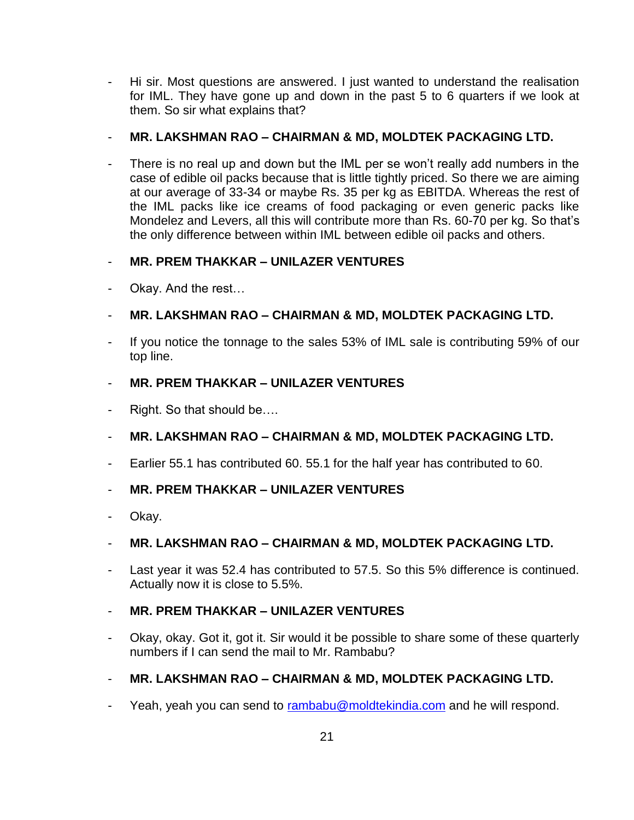- Hi sir. Most questions are answered. I just wanted to understand the realisation for IML. They have gone up and down in the past 5 to 6 quarters if we look at them. So sir what explains that?
- **MR. LAKSHMAN RAO – CHAIRMAN & MD, MOLDTEK PACKAGING LTD.**
- There is no real up and down but the IML per se won't really add numbers in the case of edible oil packs because that is little tightly priced. So there we are aiming at our average of 33-34 or maybe Rs. 35 per kg as EBITDA. Whereas the rest of the IML packs like ice creams of food packaging or even generic packs like Mondelez and Levers, all this will contribute more than Rs. 60-70 per kg. So that's the only difference between within IML between edible oil packs and others.

# - **MR. PREM THAKKAR – UNILAZER VENTURES**

- Okay. And the rest…
- **MR. LAKSHMAN RAO – CHAIRMAN & MD, MOLDTEK PACKAGING LTD.**
- If you notice the tonnage to the sales 53% of IML sale is contributing 59% of our top line.
- **MR. PREM THAKKAR – UNILAZER VENTURES**
- Right. So that should be....
- **MR. LAKSHMAN RAO – CHAIRMAN & MD, MOLDTEK PACKAGING LTD.**
- Earlier 55.1 has contributed 60. 55.1 for the half year has contributed to 60.
- **MR. PREM THAKKAR – UNILAZER VENTURES**
- Okay.

## - **MR. LAKSHMAN RAO – CHAIRMAN & MD, MOLDTEK PACKAGING LTD.**

- Last year it was 52.4 has contributed to 57.5. So this 5% difference is continued. Actually now it is close to 5.5%.

# - **MR. PREM THAKKAR – UNILAZER VENTURES**

- Okay, okay. Got it, got it. Sir would it be possible to share some of these quarterly numbers if I can send the mail to Mr. Rambabu?
- **MR. LAKSHMAN RAO – CHAIRMAN & MD, MOLDTEK PACKAGING LTD.**
- Yeah, yeah you can send to [rambabu@moldtekindia.com](mailto:rambabu@moldtekindia.com) and he will respond.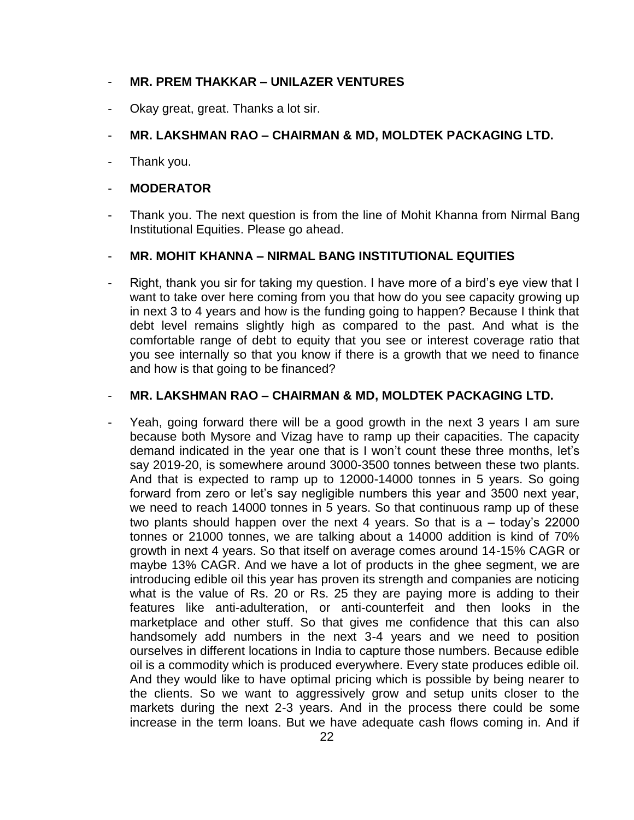#### - **MR. PREM THAKKAR – UNILAZER VENTURES**

Okay great, great. Thanks a lot sir.

## - **MR. LAKSHMAN RAO – CHAIRMAN & MD, MOLDTEK PACKAGING LTD.**

Thank you.

#### - **MODERATOR**

Thank you. The next question is from the line of Mohit Khanna from Nirmal Bang Institutional Equities. Please go ahead.

## - **MR. MOHIT KHANNA – NIRMAL BANG INSTITUTIONAL EQUITIES**

Right, thank you sir for taking my question. I have more of a bird's eye view that I want to take over here coming from you that how do you see capacity growing up in next 3 to 4 years and how is the funding going to happen? Because I think that debt level remains slightly high as compared to the past. And what is the comfortable range of debt to equity that you see or interest coverage ratio that you see internally so that you know if there is a growth that we need to finance and how is that going to be financed?

#### - **MR. LAKSHMAN RAO – CHAIRMAN & MD, MOLDTEK PACKAGING LTD.**

- Yeah, going forward there will be a good growth in the next 3 years I am sure because both Mysore and Vizag have to ramp up their capacities. The capacity demand indicated in the year one that is I won't count these three months, let's say 2019-20, is somewhere around 3000-3500 tonnes between these two plants. And that is expected to ramp up to 12000-14000 tonnes in 5 years. So going forward from zero or let's say negligible numbers this year and 3500 next year, we need to reach 14000 tonnes in 5 years. So that continuous ramp up of these two plants should happen over the next 4 years. So that is a – today's 22000 tonnes or 21000 tonnes, we are talking about a 14000 addition is kind of 70% growth in next 4 years. So that itself on average comes around 14-15% CAGR or maybe 13% CAGR. And we have a lot of products in the ghee segment, we are introducing edible oil this year has proven its strength and companies are noticing what is the value of Rs. 20 or Rs. 25 they are paying more is adding to their features like anti-adulteration, or anti-counterfeit and then looks in the marketplace and other stuff. So that gives me confidence that this can also handsomely add numbers in the next 3-4 years and we need to position ourselves in different locations in India to capture those numbers. Because edible oil is a commodity which is produced everywhere. Every state produces edible oil. And they would like to have optimal pricing which is possible by being nearer to the clients. So we want to aggressively grow and setup units closer to the markets during the next 2-3 years. And in the process there could be some increase in the term loans. But we have adequate cash flows coming in. And if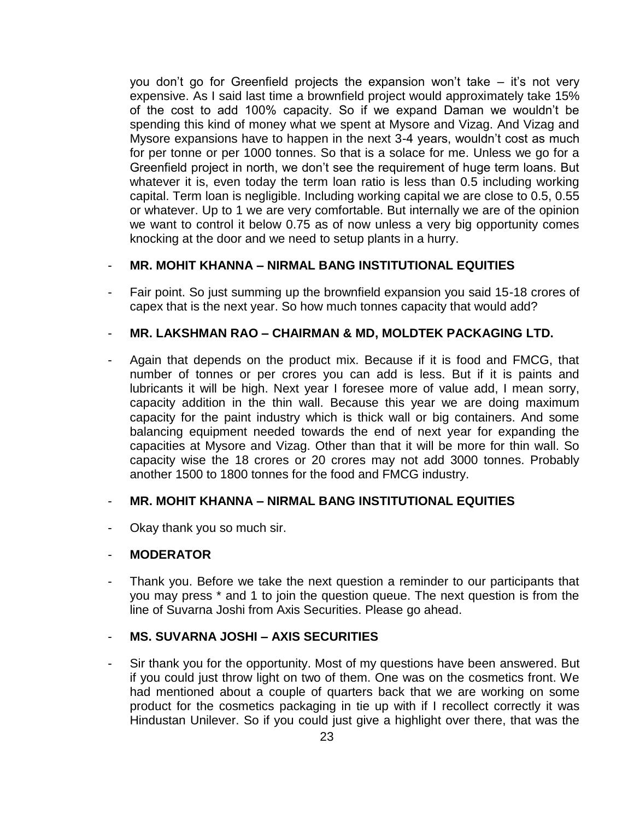you don't go for Greenfield projects the expansion won't take – it's not very expensive. As I said last time a brownfield project would approximately take 15% of the cost to add 100% capacity. So if we expand Daman we wouldn't be spending this kind of money what we spent at Mysore and Vizag. And Vizag and Mysore expansions have to happen in the next 3-4 years, wouldn't cost as much for per tonne or per 1000 tonnes. So that is a solace for me. Unless we go for a Greenfield project in north, we don't see the requirement of huge term loans. But whatever it is, even today the term loan ratio is less than 0.5 including working capital. Term loan is negligible. Including working capital we are close to 0.5, 0.55 or whatever. Up to 1 we are very comfortable. But internally we are of the opinion we want to control it below 0.75 as of now unless a very big opportunity comes knocking at the door and we need to setup plants in a hurry.

#### - **MR. MOHIT KHANNA – NIRMAL BANG INSTITUTIONAL EQUITIES**

Fair point. So just summing up the brownfield expansion you said 15-18 crores of capex that is the next year. So how much tonnes capacity that would add?

#### - **MR. LAKSHMAN RAO – CHAIRMAN & MD, MOLDTEK PACKAGING LTD.**

Again that depends on the product mix. Because if it is food and FMCG, that number of tonnes or per crores you can add is less. But if it is paints and lubricants it will be high. Next year I foresee more of value add, I mean sorry, capacity addition in the thin wall. Because this year we are doing maximum capacity for the paint industry which is thick wall or big containers. And some balancing equipment needed towards the end of next year for expanding the capacities at Mysore and Vizag. Other than that it will be more for thin wall. So capacity wise the 18 crores or 20 crores may not add 3000 tonnes. Probably another 1500 to 1800 tonnes for the food and FMCG industry.

#### - **MR. MOHIT KHANNA – NIRMAL BANG INSTITUTIONAL EQUITIES**

Okay thank you so much sir.

#### - **MODERATOR**

Thank you. Before we take the next question a reminder to our participants that you may press \* and 1 to join the question queue. The next question is from the line of Suvarna Joshi from Axis Securities. Please go ahead.

## - **MS. SUVARNA JOSHI – AXIS SECURITIES**

Sir thank you for the opportunity. Most of my questions have been answered. But if you could just throw light on two of them. One was on the cosmetics front. We had mentioned about a couple of quarters back that we are working on some product for the cosmetics packaging in tie up with if I recollect correctly it was Hindustan Unilever. So if you could just give a highlight over there, that was the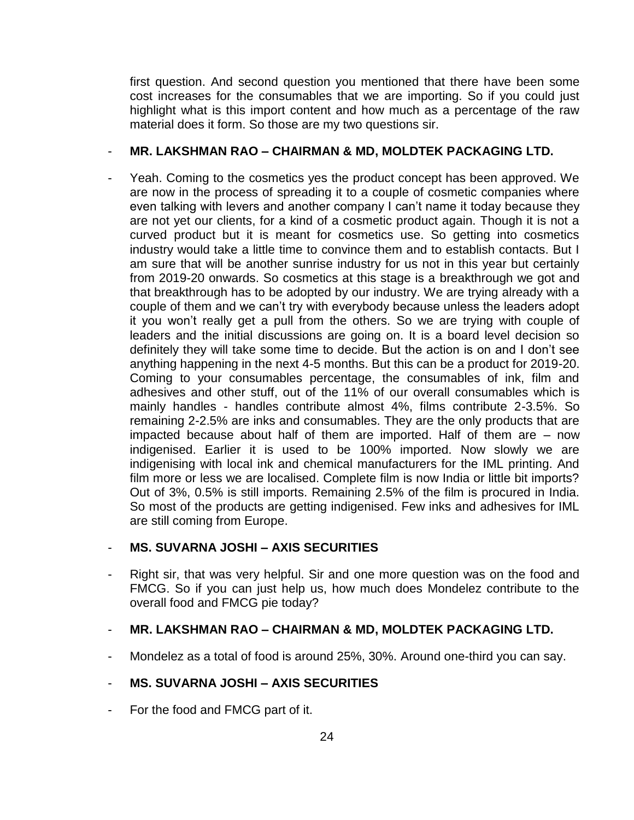first question. And second question you mentioned that there have been some cost increases for the consumables that we are importing. So if you could just highlight what is this import content and how much as a percentage of the raw material does it form. So those are my two questions sir.

#### - **MR. LAKSHMAN RAO – CHAIRMAN & MD, MOLDTEK PACKAGING LTD.**

Yeah. Coming to the cosmetics yes the product concept has been approved. We are now in the process of spreading it to a couple of cosmetic companies where even talking with levers and another company I can't name it today because they are not yet our clients, for a kind of a cosmetic product again. Though it is not a curved product but it is meant for cosmetics use. So getting into cosmetics industry would take a little time to convince them and to establish contacts. But I am sure that will be another sunrise industry for us not in this year but certainly from 2019-20 onwards. So cosmetics at this stage is a breakthrough we got and that breakthrough has to be adopted by our industry. We are trying already with a couple of them and we can't try with everybody because unless the leaders adopt it you won't really get a pull from the others. So we are trying with couple of leaders and the initial discussions are going on. It is a board level decision so definitely they will take some time to decide. But the action is on and I don't see anything happening in the next 4-5 months. But this can be a product for 2019-20. Coming to your consumables percentage, the consumables of ink, film and adhesives and other stuff, out of the 11% of our overall consumables which is mainly handles - handles contribute almost 4%, films contribute 2-3.5%. So remaining 2-2.5% are inks and consumables. They are the only products that are impacted because about half of them are imported. Half of them are – now indigenised. Earlier it is used to be 100% imported. Now slowly we are indigenising with local ink and chemical manufacturers for the IML printing. And film more or less we are localised. Complete film is now India or little bit imports? Out of 3%, 0.5% is still imports. Remaining 2.5% of the film is procured in India. So most of the products are getting indigenised. Few inks and adhesives for IML are still coming from Europe.

## - **MS. SUVARNA JOSHI – AXIS SECURITIES**

Right sir, that was very helpful. Sir and one more question was on the food and FMCG. So if you can just help us, how much does Mondelez contribute to the overall food and FMCG pie today?

## - **MR. LAKSHMAN RAO – CHAIRMAN & MD, MOLDTEK PACKAGING LTD.**

- Mondelez as a total of food is around 25%, 30%. Around one-third you can say.

## - **MS. SUVARNA JOSHI – AXIS SECURITIES**

For the food and FMCG part of it.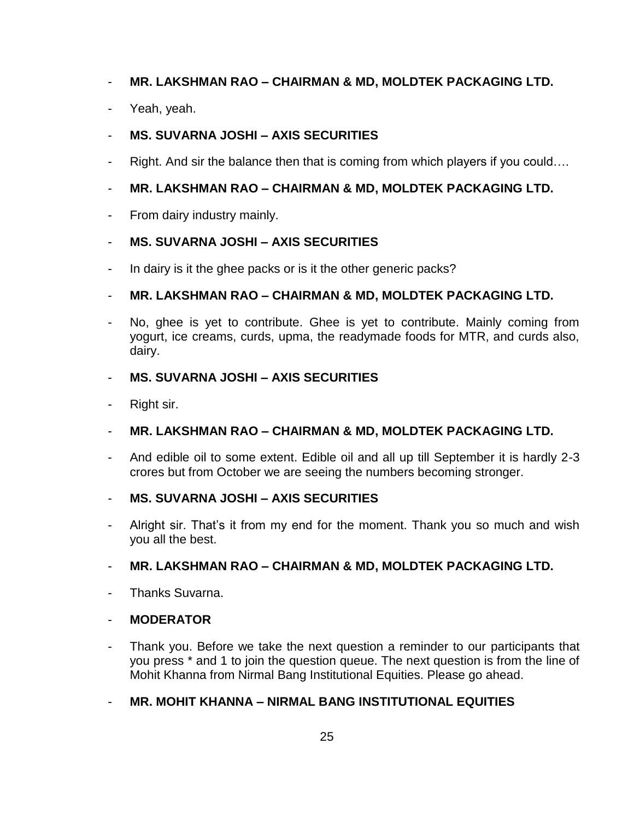# - **MR. LAKSHMAN RAO – CHAIRMAN & MD, MOLDTEK PACKAGING LTD.**

Yeah, yeah.

# - **MS. SUVARNA JOSHI – AXIS SECURITIES**

- Right. And sir the balance then that is coming from which players if you could....
- **MR. LAKSHMAN RAO – CHAIRMAN & MD, MOLDTEK PACKAGING LTD.**
- From dairy industry mainly.

## - **MS. SUVARNA JOSHI – AXIS SECURITIES**

- In dairy is it the ghee packs or is it the other generic packs?

## - **MR. LAKSHMAN RAO – CHAIRMAN & MD, MOLDTEK PACKAGING LTD.**

No, ghee is yet to contribute. Ghee is yet to contribute. Mainly coming from yogurt, ice creams, curds, upma, the readymade foods for MTR, and curds also, dairy.

# - **MS. SUVARNA JOSHI – AXIS SECURITIES**

Right sir.

## - **MR. LAKSHMAN RAO – CHAIRMAN & MD, MOLDTEK PACKAGING LTD.**

And edible oil to some extent. Edible oil and all up till September it is hardly 2-3 crores but from October we are seeing the numbers becoming stronger.

## - **MS. SUVARNA JOSHI – AXIS SECURITIES**

Alright sir. That's it from my end for the moment. Thank you so much and wish you all the best.

## - **MR. LAKSHMAN RAO – CHAIRMAN & MD, MOLDTEK PACKAGING LTD.**

Thanks Suvarna.

## - **MODERATOR**

- Thank you. Before we take the next question a reminder to our participants that you press \* and 1 to join the question queue. The next question is from the line of Mohit Khanna from Nirmal Bang Institutional Equities. Please go ahead.
- **MR. MOHIT KHANNA – NIRMAL BANG INSTITUTIONAL EQUITIES**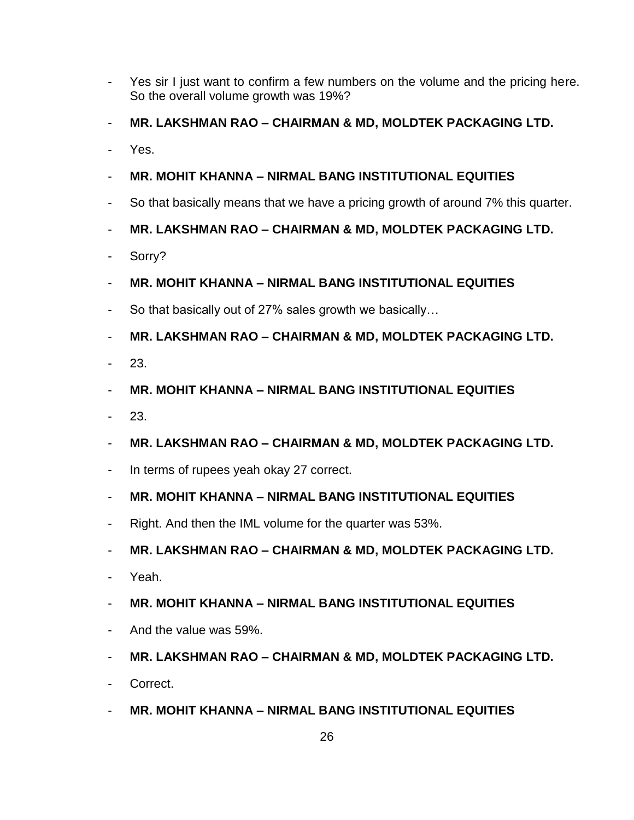- Yes sir I just want to confirm a few numbers on the volume and the pricing here. So the overall volume growth was 19%?
- **MR. LAKSHMAN RAO – CHAIRMAN & MD, MOLDTEK PACKAGING LTD.**
- Yes.
- **MR. MOHIT KHANNA – NIRMAL BANG INSTITUTIONAL EQUITIES**
- So that basically means that we have a pricing growth of around 7% this quarter.
- **MR. LAKSHMAN RAO – CHAIRMAN & MD, MOLDTEK PACKAGING LTD.**
- Sorry?
- **MR. MOHIT KHANNA – NIRMAL BANG INSTITUTIONAL EQUITIES**
- So that basically out of 27% sales growth we basically...
- **MR. LAKSHMAN RAO – CHAIRMAN & MD, MOLDTEK PACKAGING LTD.**
- 23.
- **MR. MOHIT KHANNA – NIRMAL BANG INSTITUTIONAL EQUITIES**
- 23.
- **MR. LAKSHMAN RAO – CHAIRMAN & MD, MOLDTEK PACKAGING LTD.**
- In terms of rupees yeah okay 27 correct.
- **MR. MOHIT KHANNA – NIRMAL BANG INSTITUTIONAL EQUITIES**
- Right. And then the IML volume for the quarter was 53%.
- **MR. LAKSHMAN RAO – CHAIRMAN & MD, MOLDTEK PACKAGING LTD.**
- Yeah.
- **MR. MOHIT KHANNA – NIRMAL BANG INSTITUTIONAL EQUITIES**
- And the value was 59%.
- **MR. LAKSHMAN RAO – CHAIRMAN & MD, MOLDTEK PACKAGING LTD.**
- Correct.
- **MR. MOHIT KHANNA – NIRMAL BANG INSTITUTIONAL EQUITIES**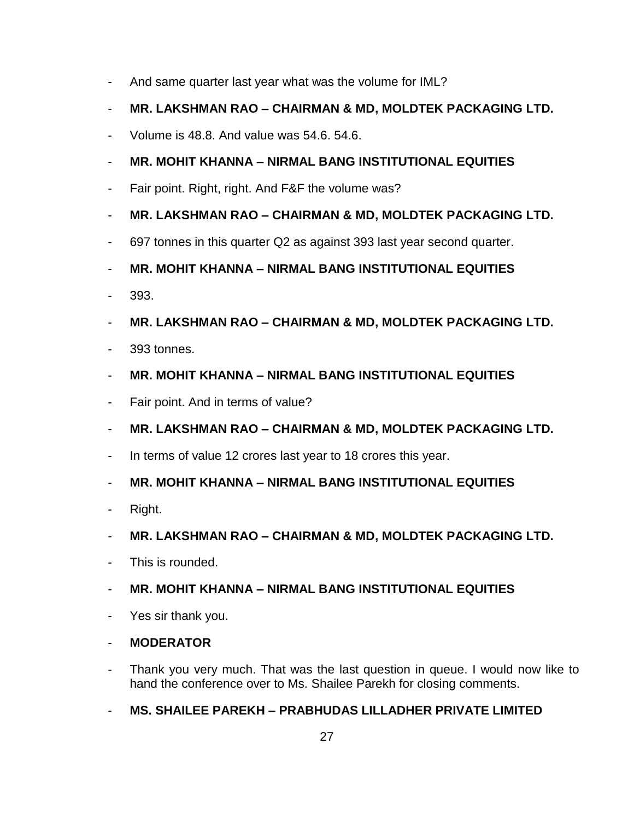- And same quarter last year what was the volume for IML?
- **MR. LAKSHMAN RAO – CHAIRMAN & MD, MOLDTEK PACKAGING LTD.**
- Volume is 48.8. And value was 54.6. 54.6.
- **MR. MOHIT KHANNA – NIRMAL BANG INSTITUTIONAL EQUITIES**
- Fair point. Right, right. And F&F the volume was?
- **MR. LAKSHMAN RAO – CHAIRMAN & MD, MOLDTEK PACKAGING LTD.**
- 697 tonnes in this quarter Q2 as against 393 last year second quarter.
- **MR. MOHIT KHANNA – NIRMAL BANG INSTITUTIONAL EQUITIES**
- 393.
- **MR. LAKSHMAN RAO – CHAIRMAN & MD, MOLDTEK PACKAGING LTD.**
- 393 tonnes.
- **MR. MOHIT KHANNA – NIRMAL BANG INSTITUTIONAL EQUITIES**
- Fair point. And in terms of value?
- **MR. LAKSHMAN RAO – CHAIRMAN & MD, MOLDTEK PACKAGING LTD.**
- In terms of value 12 crores last year to 18 crores this year.
- **MR. MOHIT KHANNA – NIRMAL BANG INSTITUTIONAL EQUITIES**
- Right.
- **MR. LAKSHMAN RAO – CHAIRMAN & MD, MOLDTEK PACKAGING LTD.**
- This is rounded.
- **MR. MOHIT KHANNA – NIRMAL BANG INSTITUTIONAL EQUITIES**
- Yes sir thank you.
- **MODERATOR**
- Thank you very much. That was the last question in queue. I would now like to hand the conference over to Ms. Shailee Parekh for closing comments.
- **MS. SHAILEE PAREKH – PRABHUDAS LILLADHER PRIVATE LIMITED**